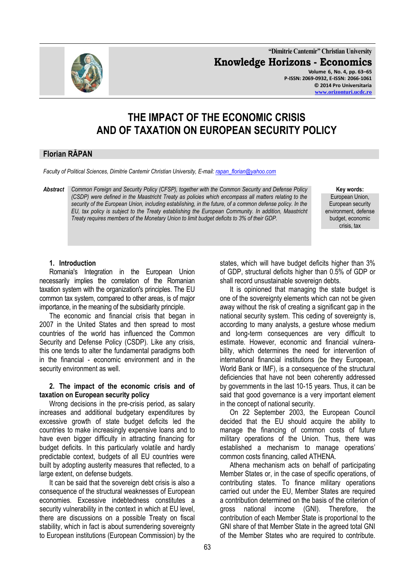

**"Dimitrie Cantemir" Christian University Knowledge Horizons - Economics Volume 6, No. 4, pp. 63–65 P-ISSN: 2069-0932, E-ISSN: 2066-1061 © 2014 Pro Universitaria [www.orizonturi.ucdc.ro](http://www.orizonturi.ucdc.ro/)**

# **THE IMPACT OF THE ECONOMIC CRISIS AND OF TAXATION ON EUROPEAN SECURITY POLICY**

## **Florian RĂPAN**

*Faculty of Political Sciences, Dimitrie Cantemir Christian University, E-mail[: rapan\\_florian@yahoo.com](mailto:rapan_florian@yahoo.com)*

*Abstract Common Foreign and Security Policy (CFSP), together with the Common Security and Defense Policy (CSDP) were defined in the Maastricht Treaty as policies which encompass all matters relating to the security of the European Union, including establishing, in the future, of a common defense policy. In the EU, tax policy is subject to the Treaty establishing the European Community. In addition, Maastricht Treaty requires members of the Monetary Union to limit budget deficits to 3% of their GDP.* 

**Key words:** European Union, European security environment, defense budget, economic crisis, tax

#### **1. Introduction**

Romania's Integration in the European Union necessarily implies the correlation of the Romanian taxation system with the organization's principles. The EU common tax system, compared to other areas, is of major importance, in the meaning of the subsidiarity principle.

The economic and financial crisis that began in 2007 in the United States and then spread to most countries of the world has influenced the Common Security and Defense Policy (CSDP). Like any crisis, this one tends to alter the fundamental paradigms both in the financial - economic environment and in the security environment as well.

#### **2. The impact of the economic crisis and of taxation on European security policy**

Wrong decisions in the pre-crisis period, as salary increases and additional budgetary expenditures by excessive growth of state budget deficits led the countries to make increasingly expensive loans and to have even bigger difficulty in attracting financing for budget deficits. In this particularly volatile and hardly predictable context, budgets of all EU countries were built by adopting austerity measures that reflected, to a large extent, on defense budgets.

It can be said that the sovereign debt crisis is also a consequence of the structural weaknesses of European economies. Excessive indebtedness constitutes a security vulnerability in the context in which at EU level, there are discussions on a possible Treaty on fiscal stability, which in fact is about surrendering sovereignty to European institutions (European Commission) by the states, which will have budget deficits higher than 3% of GDP, structural deficits higher than 0.5% of GDP or shall record unsustainable sovereign debts.

It is opinioned that managing the state budget is one of the sovereignty elements which can not be given away without the risk of creating a significant gap in the national security system. This ceding of sovereignty is, according to many analysts, a gesture whose medium and long-term consequences are very difficult to estimate. However, economic and financial vulnerability, which determines the need for intervention of international financial institutions (be they European, World Bank or IMF), is a consequence of the structural deficiencies that have not been coherently addressed by governments in the last 10-15 years. Thus, it can be said that good governance is a very important element in the concept of national security.

On 22 September 2003, the European Council decided that the EU should acquire the ability to manage the financing of common costs of future military operations of the Union. Thus, there was established a mechanism to manage operations' common costs financing, called ATHENA.

Athena mechanism acts on behalf of participating Member States or, in the case of specific operations, of contributing states. To finance military operations carried out under the EU, Member States are required a contribution determined on the basis of the criterion of gross national income (GNI). Therefore, the contribution of each Member State is proportional to the GNI share of that Member State in the agreed total GNI of the Member States who are required to contribute.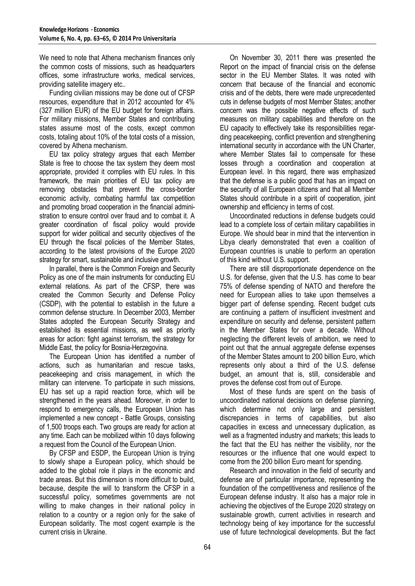We need to note that Athena mechanism finances only the common costs of missions, such as headquarters offices, some infrastructure works, medical services, providing satellite imagery etc..

Funding civilian missions may be done out of CFSP resources, expenditure that in 2012 accounted for 4% (327 million EUR) of the EU budget for foreign affairs. For military missions, Member States and contributing states assume most of the costs, except common costs, totaling about 10% of the total costs of a mission, covered by Athena mechanism.

EU tax policy strategy argues that each Member State is free to choose the tax system they deem most appropriate, provided it complies with EU rules. In this framework, the main priorities of EU tax policy are removing obstacles that prevent the cross-border economic activity, combating harmful tax competition and promoting broad cooperation in the financial administration to ensure control over fraud and to combat it. A greater coordination of fiscal policy would provide support for wider political and security objectives of the EU through the fiscal policies of the Member States, according to the latest provisions of the Europe 2020 strategy for smart, sustainable and inclusive growth.

In parallel, there is the Common Foreign and Security Policy as one of the main instruments for conducting EU external relations. As part of the CFSP, there was created the Common Security and Defense Policy (CSDP), with the potential to establish in the future a common defense structure. In December 2003, Member States adopted the European Security Strategy and established its essential missions, as well as priority areas for action: fight against terrorism, the strategy for Middle East, the policy for Bosnia-Herzegovina.

The European Union has identified a number of actions, such as humanitarian and rescue tasks, peacekeeping and crisis management, in which the military can intervene. To participate in such missions, EU has set up a rapid reaction force, which will be strengthened in the years ahead. Moreover, in order to respond to emergency calls, the European Union has implemented a new concept - Battle Groups, consisting of 1,500 troops each. Two groups are ready for action at any time. Each can be mobilized within 10 days following a request from the Council of the European Union.

By CFSP and ESDP, the European Union is trying to slowly shape a European policy, which should be added to the global role it plays in the economic and trade areas. But this dimension is more difficult to build, because, despite the will to transform the CFSP in a successful policy, sometimes governments are not willing to make changes in their national policy in relation to a country or a region only for the sake of European solidarity. The most cogent example is the current crisis in Ukraine.

On November 30, 2011 there was presented the Report on the impact of financial crisis on the defense sector in the EU Member States. It was noted with concern that because of the financial and economic crisis and of the debts, there were made unprecedented cuts in defense budgets of most Member States; another concern was the possible negative effects of such measures on military capabilities and therefore on the EU capacity to effectively take its responsibilities regarding peacekeeping, conflict prevention and strengthening international security in accordance with the UN Charter, where Member States fail to compensate for these losses through a coordination and cooperation at European level. In this regard, there was emphasized that the defense is a public good that has an impact on the security of all European citizens and that all Member States should contribute in a spirit of cooperation, joint ownership and efficiency in terms of cost.

Uncoordinated reductions in defense budgets could lead to a complete loss of certain military capabilities in Europe. We should bear in mind that the intervention in Libya clearly demonstrated that even a coalition of European countries is unable to perform an operation of this kind without U.S. support.

There are still disproportionate dependence on the U.S. for defense, given that the U.S. has come to bear 75% of defense spending of NATO and therefore the need for European allies to take upon themselves a bigger part of defense spending. Recent budget cuts are continuing a pattern of insufficient investment and expenditure on security and defense, persistent pattern in the Member States for over a decade. Without neglecting the different levels of ambition, we need to point out that the annual aggregate defense expenses of the Member States amount to 200 billion Euro, which represents only about a third of the U.S. defense budget, an amount that is, still, considerable and proves the defense cost from out of Europe.

Most of these funds are spent on the basis of uncoordinated national decisions on defense planning, which determine not only large and persistent discrepancies in terms of capabilities, but also capacities in excess and unnecessary duplication, as well as a fragmented industry and markets; this leads to the fact that the EU has neither the visibility, nor the resources or the influence that one would expect to come from the 200 billion Euro meant for spending.

Research and innovation in the field of security and defense are of particular importance, representing the foundation of the competitiveness and resilience of the European defense industry. It also has a major role in achieving the objectives of the Europe 2020 strategy on sustainable growth, current activities in research and technology being of key importance for the successful use of future technological developments. But the fact